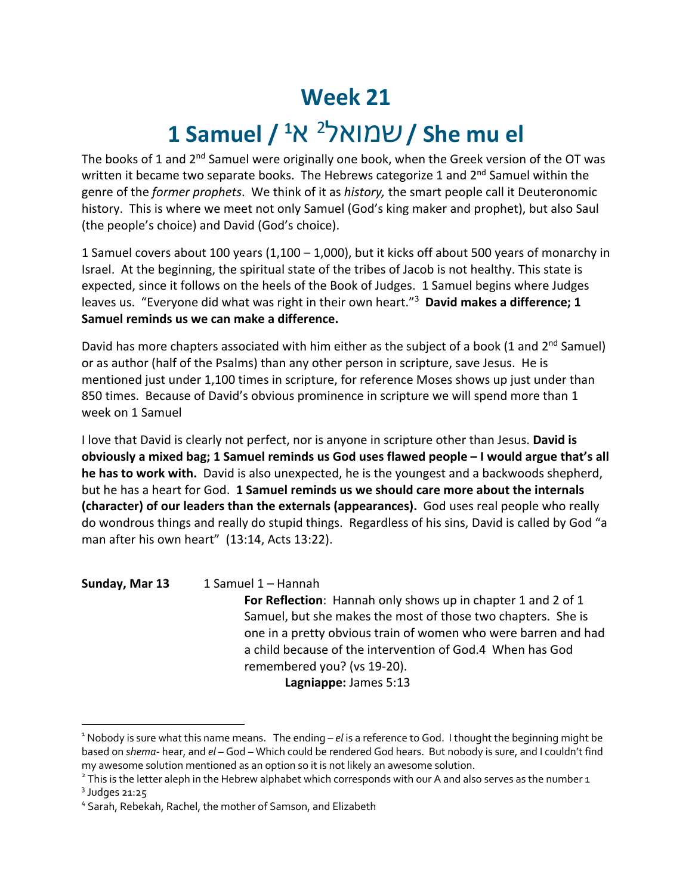## **Week 21**

## **1 Samuel / 1** א <sup>2</sup> לאומש **/ She mu el**

The books of 1 and 2<sup>nd</sup> Samuel were originally one book, when the Greek version of the OT was written it became two separate books. The Hebrews categorize 1 and 2<sup>nd</sup> Samuel within the genre of the *former prophets*. We think of it as *history,* the smart people call it Deuteronomic history. This is where we meet not only Samuel (God's king maker and prophet), but also Saul (the people's choice) and David (God's choice).

1 Samuel covers about 100 years (1,100 – 1,000), but it kicks off about 500 years of monarchy in Israel. At the beginning, the spiritual state of the tribes of Jacob is not healthy. This state is expected, since it follows on the heels of the Book of Judges. 1 Samuel begins where Judges leaves us. "Everyone did what was right in their own heart."3 **David makes a difference; 1 Samuel reminds us we can make a difference.**

David has more chapters associated with him either as the subject of a book (1 and 2<sup>nd</sup> Samuel) or as author (half of the Psalms) than any other person in scripture, save Jesus. He is mentioned just under 1,100 times in scripture, for reference Moses shows up just under than 850 times. Because of David's obvious prominence in scripture we will spend more than 1 week on 1 Samuel

I love that David is clearly not perfect, nor is anyone in scripture other than Jesus. **David is obviously a mixed bag; 1 Samuel reminds us God uses flawed people – I would argue that's all he has to work with.** David is also unexpected, he is the youngest and a backwoods shepherd, but he has a heart for God. **1 Samuel reminds us we should care more about the internals (character) of our leaders than the externals (appearances).** God uses real people who really do wondrous things and really do stupid things. Regardless of his sins, David is called by God "a man after his own heart" (13:14, Acts 13:22).

Sunday, Mar 13 1 Samuel 1 – Hannah

**For Reflection**: Hannah only shows up in chapter 1 and 2 of 1 Samuel, but she makes the most of those two chapters. She is one in a pretty obvious train of women who were barren and had a child because of the intervention of God.4 When has God remembered you? (vs 19-20).

**Lagniappe:** James 5:13

<sup>1</sup> Nobody is sure what this name means. The ending – *el* is a reference to God. I thought the beginning might be based on *shema*- hear, and *el* – God – Which could be rendered God hears. But nobody is sure, and I couldn't find my awesome solution mentioned as an option so it is not likely an awesome solution.

<sup>&</sup>lt;sup>2</sup> This is the letter aleph in the Hebrew alphabet which corresponds with our A and also serves as the number 1<br><sup>3</sup> Judges 21:25

<sup>4</sup> Sarah, Rebekah, Rachel, the mother of Samson, and Elizabeth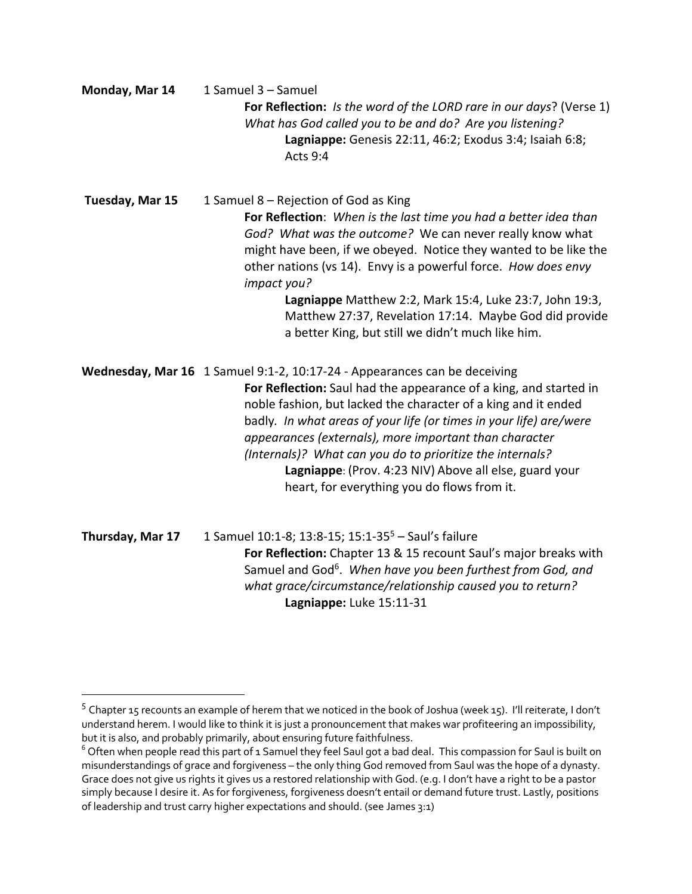| Monday, Mar 14   | 1 Samuel 3 - Samuel<br>For Reflection: Is the word of the LORD rare in our days? (Verse 1)<br>What has God called you to be and do? Are you listening?<br>Lagniappe: Genesis 22:11, 46:2; Exodus 3:4; Isaiah 6:8;<br>Acts 9:4                                                                                                                                                                                                                                                                                          |
|------------------|------------------------------------------------------------------------------------------------------------------------------------------------------------------------------------------------------------------------------------------------------------------------------------------------------------------------------------------------------------------------------------------------------------------------------------------------------------------------------------------------------------------------|
| Tuesday, Mar 15  | 1 Samuel 8 - Rejection of God as King<br>For Reflection: When is the last time you had a better idea than<br>God? What was the outcome? We can never really know what<br>might have been, if we obeyed. Notice they wanted to be like the<br>other nations (vs 14). Envy is a powerful force. How does envy<br>impact you?<br>Lagniappe Matthew 2:2, Mark 15:4, Luke 23:7, John 19:3,<br>Matthew 27:37, Revelation 17:14. Maybe God did provide<br>a better King, but still we didn't much like him.                   |
|                  | Wednesday, Mar 16 1 Samuel 9:1-2, 10:17-24 - Appearances can be deceiving<br>For Reflection: Saul had the appearance of a king, and started in<br>noble fashion, but lacked the character of a king and it ended<br>badly. In what areas of your life (or times in your life) are/were<br>appearances (externals), more important than character<br>(Internals)? What can you do to prioritize the internals?<br>Lagniappe: (Prov. 4:23 NIV) Above all else, guard your<br>heart, for everything you do flows from it. |
| Thursday, Mar 17 | 1 Samuel 10:1-8; 13:8-15; 15:1-35 <sup>5</sup> - Saul's failure<br>For Reflection: Chapter 13 & 15 recount Saul's major breaks with<br>Samuel and God <sup>6</sup> . When have you been furthest from God, and<br>what grace/circumstance/relationship caused you to return?<br>Lagniappe: Luke 15:11-31                                                                                                                                                                                                               |

<sup>5</sup> Chapter 15 recounts an example of herem that we noticed in the book of Joshua (week 15). I'll reiterate, I don't understand herem. I would like to think it is just a pronouncement that makes war profiteering an impossibility, but it is also, and probably primarily, about ensuring future faithfulness.

<sup>&</sup>lt;sup>6</sup> Often when people read this part of 1 Samuel they feel Saul got a bad deal. This compassion for Saul is built on misunderstandings of grace and forgiveness – the only thing God removed from Saul was the hope of a dynasty. Grace does not give us rights it gives us a restored relationship with God. (e.g. I don't have a right to be a pastor simply because I desire it. As for forgiveness, forgiveness doesn't entail or demand future trust. Lastly, positions of leadership and trust carry higher expectations and should. (see James 3:1)